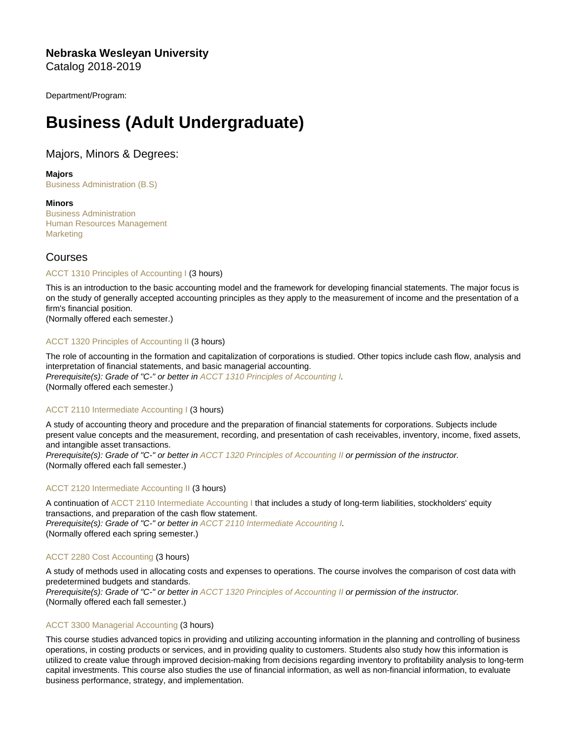Nebraska Wesleyan University Catalog 2018-2019

Department/Program:

# Business (Adult Undergraduate)

# Majors, Minors & Degrees:

Majors [Business Administration \(B.S\)](https://catalog.nebrwesleyan.edu/cc/2018-2019/mmd/330927)

**Minors** 

[Business Administration](https://catalog.nebrwesleyan.edu/cc/2018-2019/mmd/331095) [Human Resources Management](https://catalog.nebrwesleyan.edu/cc/2018-2019/mmd/331063) **[Marketing](https://catalog.nebrwesleyan.edu/cc/2018-2019/mmd/331065)** 

# Courses

# [ACCT 1310 Principles of Accounting I](https://catalog.nebrwesleyan.edu/node/327366) (3 hours)

This is an introduction to the basic accounting model and the framework for developing financial statements. The major focus is on the study of generally accepted accounting principles as they apply to the measurement of income and the presentation of a firm's financial position.

(Normally offered each semester.)

# [ACCT 1320 Principles of Accounting II](https://catalog.nebrwesleyan.edu/node/327367) (3 hours)

The role of accounting in the formation and capitalization of corporations is studied. Other topics include cash flow, analysis and interpretation of financial statements, and basic managerial accounting. Prerequisite(s): Grade of "C-" or better in [ACCT 1310 Principles of Accounting I.](https://catalog.nebrwesleyan.edu/cc/2021-2022/course/359506) (Normally offered each semester.)

# [ACCT 2110 Intermediate Accounting I](https://catalog.nebrwesleyan.edu/node/327368) (3 hours)

A study of accounting theory and procedure and the preparation of financial statements for corporations. Subjects include present value concepts and the measurement, recording, and presentation of cash receivables, inventory, income, fixed assets, and intangible asset transactions.

Prerequisite(s): Grade of "C-" or better in [ACCT 1320 Principles of Accounting II](https://catalog.nebrwesleyan.edu/cc/2021-2022/course/359507) or permission of the instructor. (Normally offered each fall semester.)

# [ACCT 2120 Intermediate Accounting II](https://catalog.nebrwesleyan.edu/node/327369) (3 hours)

A continuation of [ACCT 2110 Intermediate Accounting I](https://catalog.nebrwesleyan.edu/cc/2021-2022/course/359508) that includes a study of long-term liabilities, stockholders' equity transactions, and preparation of the cash flow statement. Prerequisite(s): Grade of "C-" or better in [ACCT 2110 Intermediate Accounting I.](https://catalog.nebrwesleyan.edu/cc/2021-2022/course/359508) (Normally offered each spring semester.)

# [ACCT 2280 Cost Accounting](https://catalog.nebrwesleyan.edu/node/327370) (3 hours)

A study of methods used in allocating costs and expenses to operations. The course involves the comparison of cost data with predetermined budgets and standards. Prerequisite(s): Grade of "C-" or better in [ACCT 1320 Principles of Accounting II](https://catalog.nebrwesleyan.edu/cc/2021-2022/course/359507) or permission of the instructor. (Normally offered each fall semester.)

# [ACCT 3300 Managerial Accounting](https://catalog.nebrwesleyan.edu/node/327373) (3 hours)

This course studies advanced topics in providing and utilizing accounting information in the planning and controlling of business operations, in costing products or services, and in providing quality to customers. Students also study how this information is utilized to create value through improved decision-making from decisions regarding inventory to profitability analysis to long-term capital investments. This course also studies the use of financial information, as well as non-financial information, to evaluate business performance, strategy, and implementation.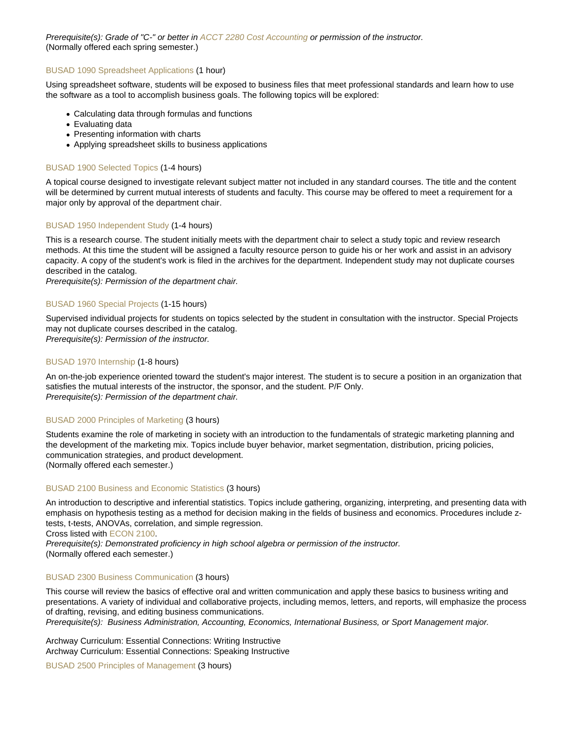Prerequisite(s): Grade of "C-" or better in [ACCT 2280 Cost Accounting](https://catalog.nebrwesleyan.edu/cc/2021-2022/course/359510) or permission of the instructor. (Normally offered each spring semester.)

# [BUSAD 1090 Spreadsheet Applications](https://catalog.nebrwesleyan.edu/node/327480) (1 hour)

Using spreadsheet software, students will be exposed to business files that meet professional standards and learn how to use the software as a tool to accomplish business goals. The following topics will be explored:

- Calculating data through formulas and functions
- Evaluating data
- Presenting information with charts
- Applying spreadsheet skills to business applications

# [BUSAD 1900 Selected Topics](https://catalog.nebrwesleyan.edu/node/329119) (1-4 hours)

A topical course designed to investigate relevant subject matter not included in any standard courses. The title and the content will be determined by current mutual interests of students and faculty. This course may be offered to meet a requirement for a major only by approval of the department chair.

# [BUSAD 1950 Independent Study](https://catalog.nebrwesleyan.edu/node/329120) (1-4 hours)

This is a research course. The student initially meets with the department chair to select a study topic and review research methods. At this time the student will be assigned a faculty resource person to guide his or her work and assist in an advisory capacity. A copy of the student's work is filed in the archives for the department. Independent study may not duplicate courses described in the catalog.

Prerequisite(s): Permission of the department chair.

# [BUSAD 1960 Special Projects](https://catalog.nebrwesleyan.edu/node/329121) (1-15 hours)

Supervised individual projects for students on topics selected by the student in consultation with the instructor. Special Projects may not duplicate courses described in the catalog. Prerequisite(s): Permission of the instructor.

# [BUSAD 1970 Internship](https://catalog.nebrwesleyan.edu/node/329122) (1-8 hours)

An on-the-job experience oriented toward the student's major interest. The student is to secure a position in an organization that satisfies the mutual interests of the instructor, the sponsor, and the student. P/F Only. Prerequisite(s): Permission of the department chair.

# [BUSAD 2000 Principles of Marketing](https://catalog.nebrwesleyan.edu/node/327481) (3 hours)

Students examine the role of marketing in society with an introduction to the fundamentals of strategic marketing planning and the development of the marketing mix. Topics include buyer behavior, market segmentation, distribution, pricing policies, communication strategies, and product development. (Normally offered each semester.)

# [BUSAD 2100 Business and Economic Statistics](https://catalog.nebrwesleyan.edu/node/327482) (3 hours)

An introduction to descriptive and inferential statistics. Topics include gathering, organizing, interpreting, and presenting data with emphasis on hypothesis testing as a method for decision making in the fields of business and economics. Procedures include ztests, t-tests, ANOVAs, correlation, and simple regression.

Cross listed with [ECON 2100.](https://catalog.nebrwesleyan.edu/cc/2021-2022/course/359715)

Prerequisite(s): Demonstrated proficiency in high school algebra or permission of the instructor. (Normally offered each semester.)

# [BUSAD 2300 Business Communication](https://catalog.nebrwesleyan.edu/node/327484) (3 hours)

This course will review the basics of effective oral and written communication and apply these basics to business writing and presentations. A variety of individual and collaborative projects, including memos, letters, and reports, will emphasize the process of drafting, revising, and editing business communications.

Prerequisite(s): Business Administration, Accounting, Economics, International Business, or Sport Management major.

Archway Curriculum: Essential Connections: Writing Instructive Archway Curriculum: Essential Connections: Speaking Instructive

[BUSAD 2500 Principles of Management](https://catalog.nebrwesleyan.edu/node/327486) (3 hours)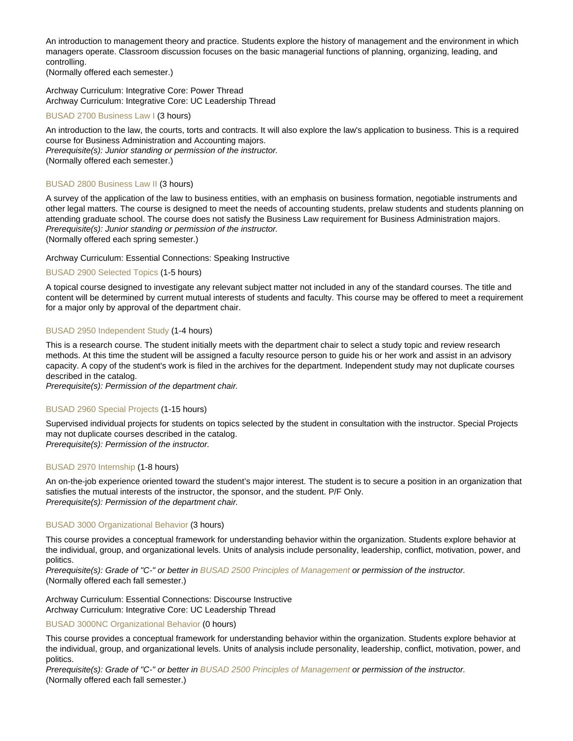An introduction to management theory and practice. Students explore the history of management and the environment in which managers operate. Classroom discussion focuses on the basic managerial functions of planning, organizing, leading, and controlling.

(Normally offered each semester.)

Archway Curriculum: Integrative Core: Power Thread Archway Curriculum: Integrative Core: UC Leadership Thread

# [BUSAD 2700 Business Law I](https://catalog.nebrwesleyan.edu/node/327487) (3 hours)

An introduction to the law, the courts, torts and contracts. It will also explore the law's application to business. This is a required course for Business Administration and Accounting majors. Prerequisite(s): Junior standing or permission of the instructor. (Normally offered each semester.)

#### [BUSAD 2800 Business Law II](https://catalog.nebrwesleyan.edu/node/327488) (3 hours)

A survey of the application of the law to business entities, with an emphasis on business formation, negotiable instruments and other legal matters. The course is designed to meet the needs of accounting students, prelaw students and students planning on attending graduate school. The course does not satisfy the Business Law requirement for Business Administration majors. Prerequisite(s): Junior standing or permission of the instructor. (Normally offered each spring semester.)

# Archway Curriculum: Essential Connections: Speaking Instructive

# [BUSAD 2900 Selected Topics](https://catalog.nebrwesleyan.edu/node/327489) (1-5 hours)

A topical course designed to investigate any relevant subject matter not included in any of the standard courses. The title and content will be determined by current mutual interests of students and faculty. This course may be offered to meet a requirement for a major only by approval of the department chair.

#### [BUSAD 2950 Independent Study](https://catalog.nebrwesleyan.edu/node/329123) (1-4 hours)

This is a research course. The student initially meets with the department chair to select a study topic and review research methods. At this time the student will be assigned a faculty resource person to guide his or her work and assist in an advisory capacity. A copy of the student's work is filed in the archives for the department. Independent study may not duplicate courses described in the catalog.

Prerequisite(s): Permission of the department chair.

#### [BUSAD 2960 Special Projects](https://catalog.nebrwesleyan.edu/node/329124) (1-15 hours)

Supervised individual projects for students on topics selected by the student in consultation with the instructor. Special Projects may not duplicate courses described in the catalog.

Prerequisite(s): Permission of the instructor.

# [BUSAD 2970 Internship](https://catalog.nebrwesleyan.edu/node/329125) (1-8 hours)

An on-the-job experience oriented toward the student's major interest. The student is to secure a position in an organization that satisfies the mutual interests of the instructor, the sponsor, and the student. P/F Only. Prerequisite(s): Permission of the department chair.

#### [BUSAD 3000 Organizational Behavior](https://catalog.nebrwesleyan.edu/node/327490) (3 hours)

This course provides a conceptual framework for understanding behavior within the organization. Students explore behavior at the individual, group, and organizational levels. Units of analysis include personality, leadership, conflict, motivation, power, and politics.

Prerequisite(s): Grade of "C-" or better in [BUSAD 2500 Principles of Management](https://catalog.nebrwesleyan.edu/cc/2021-2022/course/359624) or permission of the instructor. (Normally offered each fall semester.)

Archway Curriculum: Essential Connections: Discourse Instructive Archway Curriculum: Integrative Core: UC Leadership Thread

#### [BUSAD 3000NC Organizational Behavior](https://catalog.nebrwesleyan.edu/node/330350) (0 hours)

This course provides a conceptual framework for understanding behavior within the organization. Students explore behavior at the individual, group, and organizational levels. Units of analysis include personality, leadership, conflict, motivation, power, and politics.

Prerequisite(s): Grade of "C-" or better in [BUSAD 2500 Principles of Management](https://catalog.nebrwesleyan.edu/cc/2021-2022/course/359624) or permission of the instructor. (Normally offered each fall semester.)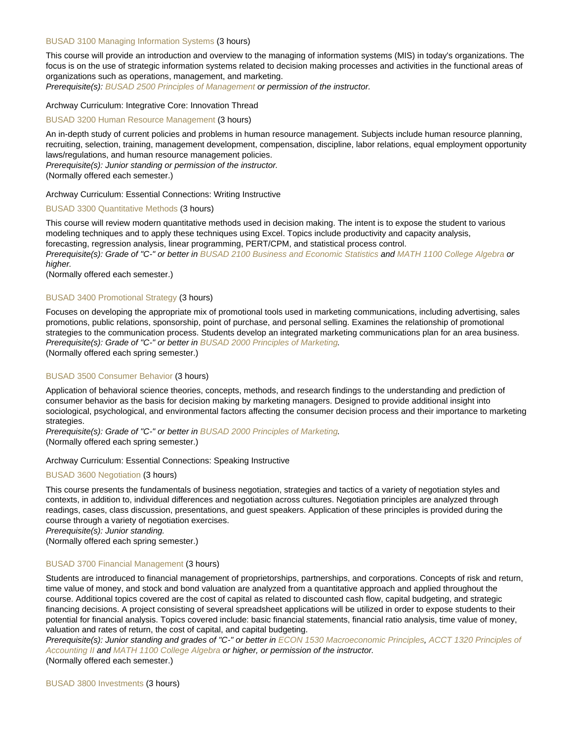#### [BUSAD 3100 Managing Information Systems](https://catalog.nebrwesleyan.edu/node/328970) (3 hours)

This course will provide an introduction and overview to the managing of information systems (MIS) in today's organizations. The focus is on the use of strategic information systems related to decision making processes and activities in the functional areas of organizations such as operations, management, and marketing.

Prerequisite(s): [BUSAD 2500 Principles of Management](https://catalog.nebrwesleyan.edu/cc/2021-2022/course/359624) or permission of the instructor.

#### Archway Curriculum: Integrative Core: Innovation Thread

#### [BUSAD 3200 Human Resource Management](https://catalog.nebrwesleyan.edu/node/327491) (3 hours)

An in-depth study of current policies and problems in human resource management. Subjects include human resource planning, recruiting, selection, training, management development, compensation, discipline, labor relations, equal employment opportunity laws/regulations, and human resource management policies. Prerequisite(s): Junior standing or permission of the instructor.

(Normally offered each semester.)

Archway Curriculum: Essential Connections: Writing Instructive

#### [BUSAD 3300 Quantitative Methods](https://catalog.nebrwesleyan.edu/node/335940) (3 hours)

This course will review modern quantitative methods used in decision making. The intent is to expose the student to various modeling techniques and to apply these techniques using Excel. Topics include productivity and capacity analysis, forecasting, regression analysis, linear programming, PERT/CPM, and statistical process control. Prerequisite(s): Grade of "C-" or better in [BUSAD 2100 Business and Economic Statistics](https://catalog.nebrwesleyan.edu/cc/2021-2022/course/359620) and [MATH 1100 College Algebra](https://catalog.nebrwesleyan.edu/cc/2021-2022/course/359779) or higher.

(Normally offered each semester.)

# [BUSAD 3400 Promotional Strategy](https://catalog.nebrwesleyan.edu/node/328538) (3 hours)

Focuses on developing the appropriate mix of promotional tools used in marketing communications, including advertising, sales promotions, public relations, sponsorship, point of purchase, and personal selling. Examines the relationship of promotional strategies to the communication process. Students develop an integrated marketing communications plan for an area business. Prerequisite(s): Grade of "C-" or better in [BUSAD 2000 Principles of Marketing](https://catalog.nebrwesleyan.edu/cc/2021-2022/course/359619). (Normally offered each spring semester.)

[BUSAD 3500 Consumer Behavior](https://catalog.nebrwesleyan.edu/node/327493) (3 hours)

Application of behavioral science theories, concepts, methods, and research findings to the understanding and prediction of consumer behavior as the basis for decision making by marketing managers. Designed to provide additional insight into sociological, psychological, and environmental factors affecting the consumer decision process and their importance to marketing strategies.

Prerequisite(s): Grade of "C-" or better in [BUSAD 2000 Principles of Marketing](https://catalog.nebrwesleyan.edu/cc/2021-2022/course/359619).

(Normally offered each spring semester.)

#### Archway Curriculum: Essential Connections: Speaking Instructive

### [BUSAD 3600 Negotiation](https://catalog.nebrwesleyan.edu/node/327494) (3 hours)

This course presents the fundamentals of business negotiation, strategies and tactics of a variety of negotiation styles and contexts, in addition to, individual differences and negotiation across cultures. Negotiation principles are analyzed through readings, cases, class discussion, presentations, and guest speakers. Application of these principles is provided during the course through a variety of negotiation exercises.

Prerequisite(s): Junior standing.

(Normally offered each spring semester.)

#### [BUSAD 3700 Financial Management](https://catalog.nebrwesleyan.edu/node/327495) (3 hours)

Students are introduced to financial management of proprietorships, partnerships, and corporations. Concepts of risk and return, time value of money, and stock and bond valuation are analyzed from a quantitative approach and applied throughout the course. Additional topics covered are the cost of capital as related to discounted cash flow, capital budgeting, and strategic financing decisions. A project consisting of several spreadsheet applications will be utilized in order to expose students to their potential for financial analysis. Topics covered include: basic financial statements, financial ratio analysis, time value of money, valuation and rates of return, the cost of capital, and capital budgeting.

Prerequisite(s): Junior standing and grades of "C-" or better in [ECON 1530 Macroeconomic Principles,](https://catalog.nebrwesleyan.edu/cc/2021-2022/course/359712) [ACCT 1320 Principles of](https://catalog.nebrwesleyan.edu/cc/2021-2022/course/359507) [Accounting II](https://catalog.nebrwesleyan.edu/cc/2021-2022/course/359507) and [MATH 1100 College Algebra](https://catalog.nebrwesleyan.edu/cc/2021-2022/course/359779) or higher, or permission of the instructor. (Normally offered each semester.)

[BUSAD 3800 Investments](https://catalog.nebrwesleyan.edu/node/327496) (3 hours)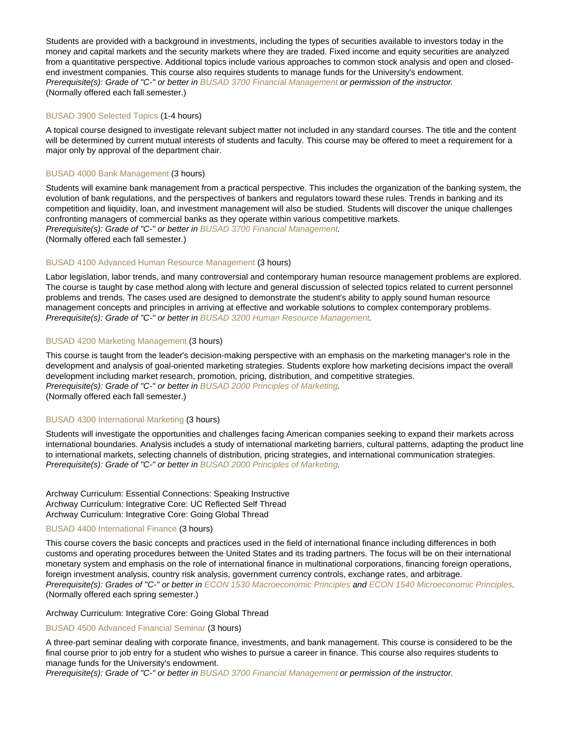Students are provided with a background in investments, including the types of securities available to investors today in the money and capital markets and the security markets where they are traded. Fixed income and equity securities are analyzed from a quantitative perspective. Additional topics include various approaches to common stock analysis and open and closedend investment companies. This course also requires students to manage funds for the University's endowment. Prerequisite(s): Grade of "C-" or better in [BUSAD 3700 Financial Management](https://catalog.nebrwesleyan.edu/cc/2021-2022/course/359633) or permission of the instructor. (Normally offered each fall semester.)

#### [BUSAD 3900 Selected Topics](https://catalog.nebrwesleyan.edu/node/329126) (1-4 hours)

A topical course designed to investigate relevant subject matter not included in any standard courses. The title and the content will be determined by current mutual interests of students and faculty. This course may be offered to meet a requirement for a major only by approval of the department chair.

# [BUSAD 4000 Bank Management](https://catalog.nebrwesleyan.edu/node/327497) (3 hours)

Students will examine bank management from a practical perspective. This includes the organization of the banking system, the evolution of bank regulations, and the perspectives of bankers and regulators toward these rules. Trends in banking and its competition and liquidity, loan, and investment management will also be studied. Students will discover the unique challenges confronting managers of commercial banks as they operate within various competitive markets. Prerequisite(s): Grade of "C-" or better in [BUSAD 3700 Financial Management](https://catalog.nebrwesleyan.edu/cc/2021-2022/course/359633). (Normally offered each fall semester.)

#### [BUSAD 4100 Advanced Human Resource Management](https://catalog.nebrwesleyan.edu/node/327498) (3 hours)

Labor legislation, labor trends, and many controversial and contemporary human resource management problems are explored. The course is taught by case method along with lecture and general discussion of selected topics related to current personnel problems and trends. The cases used are designed to demonstrate the student's ability to apply sound human resource management concepts and principles in arriving at effective and workable solutions to complex contemporary problems. Prerequisite(s): Grade of "C-" or better in [BUSAD 3200 Human Resource Management](https://catalog.nebrwesleyan.edu/cc/2021-2022/course/359629).

#### [BUSAD 4200 Marketing Management](https://catalog.nebrwesleyan.edu/node/327499) (3 hours)

This course is taught from the leader's decision-making perspective with an emphasis on the marketing manager's role in the development and analysis of goal-oriented marketing strategies. Students explore how marketing decisions impact the overall development including market research, promotion, pricing, distribution, and competitive strategies. Prerequisite(s): Grade of "C-" or better in [BUSAD 2000 Principles of Marketing](https://catalog.nebrwesleyan.edu/cc/2021-2022/course/359619). (Normally offered each fall semester.)

# [BUSAD 4300 International Marketing](https://catalog.nebrwesleyan.edu/node/327500) (3 hours)

Students will investigate the opportunities and challenges facing American companies seeking to expand their markets across international boundaries. Analysis includes a study of international marketing barriers, cultural patterns, adapting the product line to international markets, selecting channels of distribution, pricing strategies, and international communication strategies. Prerequisite(s): Grade of "C-" or better in [BUSAD 2000 Principles of Marketing](https://catalog.nebrwesleyan.edu/cc/2021-2022/course/359619).

Archway Curriculum: Essential Connections: Speaking Instructive Archway Curriculum: Integrative Core: UC Reflected Self Thread Archway Curriculum: Integrative Core: Going Global Thread

#### [BUSAD 4400 International Finance](https://catalog.nebrwesleyan.edu/node/327501) (3 hours)

This course covers the basic concepts and practices used in the field of international finance including differences in both customs and operating procedures between the United States and its trading partners. The focus will be on their international monetary system and emphasis on the role of international finance in multinational corporations, financing foreign operations, foreign investment analysis, country risk analysis, government currency controls, exchange rates, and arbitrage. Prerequisite(s): Grades of "C-" or better in [ECON 1530 Macroeconomic Principles](https://catalog.nebrwesleyan.edu/cc/2021-2022/course/359712) and [ECON 1540 Microeconomic Principles.](https://catalog.nebrwesleyan.edu/cc/2021-2022/course/359713) (Normally offered each spring semester.)

#### Archway Curriculum: Integrative Core: Going Global Thread

#### [BUSAD 4500 Advanced Financial Seminar](https://catalog.nebrwesleyan.edu/node/327502) (3 hours)

A three-part seminar dealing with corporate finance, investments, and bank management. This course is considered to be the final course prior to job entry for a student who wishes to pursue a career in finance. This course also requires students to manage funds for the University's endowment.

Prerequisite(s): Grade of "C-" or better in [BUSAD 3700 Financial Management](https://catalog.nebrwesleyan.edu/cc/2021-2022/course/359633) or permission of the instructor.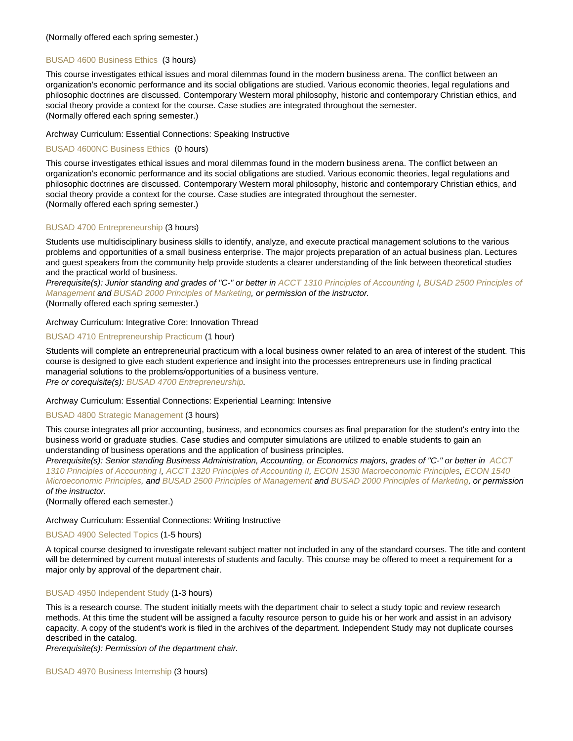#### (Normally offered each spring semester.)

#### [BUSAD 4600 Business Ethics](https://catalog.nebrwesleyan.edu/node/328577) (3 hours)

This course investigates ethical issues and moral dilemmas found in the modern business arena. The conflict between an organization's economic performance and its social obligations are studied. Various economic theories, legal regulations and philosophic doctrines are discussed. Contemporary Western moral philosophy, historic and contemporary Christian ethics, and social theory provide a context for the course. Case studies are integrated throughout the semester. (Normally offered each spring semester.)

#### Archway Curriculum: Essential Connections: Speaking Instructive

# [BUSAD 4600NC Business Ethics](https://catalog.nebrwesleyan.edu/node/330351) (0 hours)

This course investigates ethical issues and moral dilemmas found in the modern business arena. The conflict between an organization's economic performance and its social obligations are studied. Various economic theories, legal regulations and philosophic doctrines are discussed. Contemporary Western moral philosophy, historic and contemporary Christian ethics, and social theory provide a context for the course. Case studies are integrated throughout the semester. (Normally offered each spring semester.)

#### [BUSAD 4700 Entrepreneurship](https://catalog.nebrwesleyan.edu/node/328578) (3 hours)

Students use multidisciplinary business skills to identify, analyze, and execute practical management solutions to the various problems and opportunities of a small business enterprise. The major projects preparation of an actual business plan. Lectures and guest speakers from the community help provide students a clearer understanding of the link between theoretical studies and the practical world of business.

Prerequisite(s): Junior standing and grades of "C-" or better in [ACCT 1310 Principles of Accounting I](https://catalog.nebrwesleyan.edu/cc/2021-2022/course/359506), [BUSAD 2500 Principles of](https://catalog.nebrwesleyan.edu/cc/2021-2022/course/359624) [Management](https://catalog.nebrwesleyan.edu/cc/2021-2022/course/359624) and [BUSAD 2000 Principles of Marketing,](https://catalog.nebrwesleyan.edu/cc/2021-2022/course/359619) or permission of the instructor.

(Normally offered each spring semester.)

#### Archway Curriculum: Integrative Core: Innovation Thread

#### [BUSAD 4710 Entrepreneurship Practicum](https://catalog.nebrwesleyan.edu/node/331121) (1 hour)

Students will complete an entrepreneurial practicum with a local business owner related to an area of interest of the student. This course is designed to give each student experience and insight into the processes entrepreneurs use in finding practical managerial solutions to the problems/opportunities of a business venture. Pre or corequisite(s): [BUSAD 4700 Entrepreneurship](https://catalog.nebrwesleyan.edu/cc/2021-2022/course/360713).

Archway Curriculum: Essential Connections: Experiential Learning: Intensive

#### [BUSAD 4800 Strategic Management](https://catalog.nebrwesleyan.edu/node/328539) (3 hours)

This course integrates all prior accounting, business, and economics courses as final preparation for the student's entry into the business world or graduate studies. Case studies and computer simulations are utilized to enable students to gain an understanding of business operations and the application of business principles.

Prerequisite(s): Senior standing Business Administration, Accounting, or Economics majors, grades of "C-" or better in [ACCT](https://catalog.nebrwesleyan.edu/cc/2021-2022/course/359506) [1310 Principles of Accounting I,](https://catalog.nebrwesleyan.edu/cc/2021-2022/course/359506) [ACCT 1320 Principles of Accounting II,](https://catalog.nebrwesleyan.edu/cc/2021-2022/course/359507) [ECON 1530 Macroeconomic Principles,](https://catalog.nebrwesleyan.edu/cc/2021-2022/course/359712) [ECON 1540](https://catalog.nebrwesleyan.edu/cc/2021-2022/course/359713) [Microeconomic Principles](https://catalog.nebrwesleyan.edu/cc/2021-2022/course/359713), and [BUSAD 2500 Principles of Management](https://catalog.nebrwesleyan.edu/cc/2021-2022/course/359624) and [BUSAD 2000 Principles of Marketing,](https://catalog.nebrwesleyan.edu/cc/2021-2022/course/359619) or permission of the instructor.

(Normally offered each semester.)

#### Archway Curriculum: Essential Connections: Writing Instructive

#### [BUSAD 4900 Selected Topics](https://catalog.nebrwesleyan.edu/node/327506) (1-5 hours)

A topical course designed to investigate relevant subject matter not included in any of the standard courses. The title and content will be determined by current mutual interests of students and faculty. This course may be offered to meet a requirement for a major only by approval of the department chair.

#### [BUSAD 4950 Independent Study](https://catalog.nebrwesleyan.edu/node/327508) (1-3 hours)

This is a research course. The student initially meets with the department chair to select a study topic and review research methods. At this time the student will be assigned a faculty resource person to guide his or her work and assist in an advisory capacity. A copy of the student's work is filed in the archives of the department. Independent Study may not duplicate courses described in the catalog.

Prerequisite(s): Permission of the department chair.

[BUSAD 4970 Business Internship](https://catalog.nebrwesleyan.edu/node/327511) (3 hours)